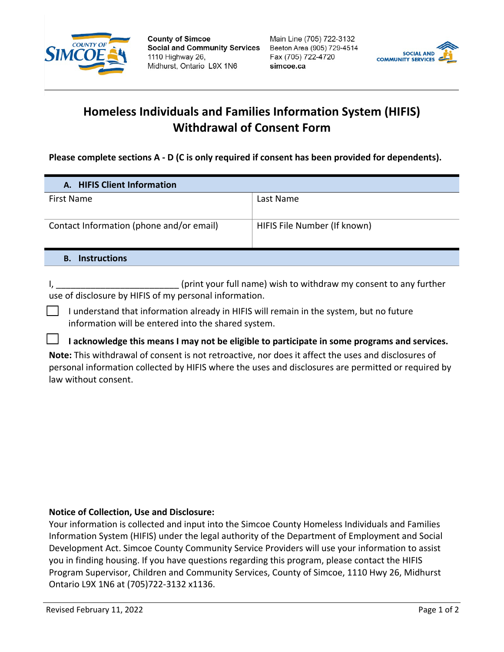

**County of Simcoe Social and Community Services** 1110 Highway 26. Midhurst, Ontario L9X 1N6

Main Line (705) 722-3132 Beeton Area (905) 729-4514 Fax (705) 722-4720 simcoe.ca



## **Homeless Individuals and Families Information System (HIFIS) Withdrawal of Consent Form**

**Please complete sections A - D (C is only required if consent has been provided for dependents).** 

| A. HIFIS Client Information              |                              |
|------------------------------------------|------------------------------|
| First Name                               | Last Name                    |
| Contact Information (phone and/or email) | HIFIS File Number (If known) |
| <b>Instructions</b><br>В.                |                              |

I, \_\_\_\_\_\_\_\_\_\_\_\_\_\_\_\_\_\_\_\_\_\_\_\_\_\_\_\_\_\_\_(print your full name) wish to withdraw my consent to any further use of disclosure by HIFIS of my personal information.

☐ I understand that information already in HIFIS will remain in the system, but no future information will be entered into the shared system.

☐ **I acknowledge this means I may not be eligible to participate in some programs and services.**

**Note:** This withdrawal of consent is not retroactive, nor does it affect the uses and disclosures of personal information collected by HIFIS where the uses and disclosures are permitted or required by law without consent.

## **Notice of Collection, Use and Disclosure:**

Your information is collected and input into the Simcoe County Homeless Individuals and Families Information System (HIFIS) under the legal authority of the Department of Employment and Social Development Act. Simcoe County Community Service Providers will use your information to assist you in finding housing. If you have questions regarding this program, please contact the HIFIS Program Supervisor, Children and Community Services, County of Simcoe, 1110 Hwy 26, Midhurst Ontario L9X 1N6 at (705)722-3132 x1136.